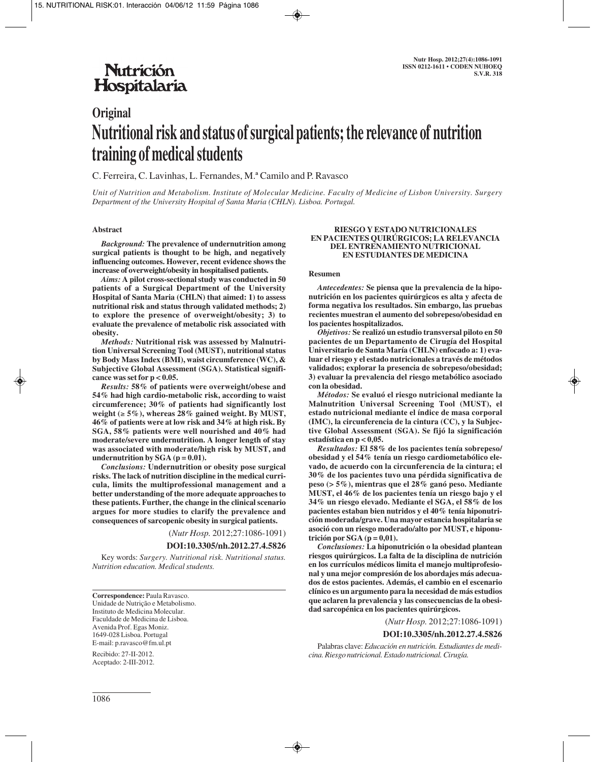# **Nutrición** Hospitalaria

# **Original Nutritional risk and status of surgical patients; the relevance of nutrition training of medical students**

C. Ferreira, C. Lavinhas, L. Fernandes, M.ª Camilo and P. Ravasco

*Unit of Nutrition and Metabolism. Institute of Molecular Medicine. Faculty of Medicine of Lisbon University. Surgery Department of the University Hospital of Santa Maria (CHLN). Lisboa. Portugal.*

#### **Abstract**

*Background:* **The prevalence of undernutrition among surgical patients is thought to be high, and negatively influencing outcomes. However, recent evidence shows the increase of overweight/obesity in hospitalised patients.**

*Aims:* **A pilot cross-sectional study was conducted in 50 patients of a Surgical Department of the University Hospital of Santa Maria (CHLN) that aimed: 1) to assess nutritional risk and status through validated methods; 2) to explore the presence of overweight/obesity; 3) to evaluate the prevalence of metabolic risk associated with obesity.** 

*Methods:* **Nutritional risk was assessed by Malnutrition Universal Screening Tool (MUST), nutritional status by Body Mass Index (BMI), waist circumference (WC), & Subjective Global Assessment (SGA). Statistical significance was set for p < 0.05.** 

*Results:* **58% of patients were overweight/obese and 54% had high cardio-metabolic risk, according to waist circumference; 30% of patients had significantly lost weight (**≥ **5%), whereas 28% gained weight. By MUST, 46% of patients were at low risk and 34% at high risk. By SGA, 58% patients were well nourished and 40% had moderate/severe undernutrition. A longer length of stay was associated with moderate/high risk by MUST, and** undernutrition by  $SGA (p = 0.01)$ .

*Conclusions:* **Undernutrition or obesity pose surgical risks. The lack of nutrition discipline in the medical curricula, limits the multiprofessional management and a better understanding of the more adequate approaches to these patients. Further, the change in the clinical scenario argues for more studies to clarify the prevalence and consequences of sarcopenic obesity in surgical patients.**

(*Nutr Hosp.* 2012;27:1086-1091)

**DOI:10.3305/nh.2012.27.4.5826**

Key words: *Surgery. Nutritional risk. Nutritional status. Nutrition education. Medical students.*

**Correspondence:** Paula Ravasco. Unidade de Nutrição e Metabolismo. Instituto de Medicina Molecular. Faculdade de Medicina de Lisboa. Avenida Prof. Egas Moniz. 1649-028 Lisboa. Portugal E-mail: p.ravasco@fm.ul.pt

Recibido: 27-II-2012. Aceptado: 2-III-2012.

#### **RIESGO Y ESTADO NUTRICIONALES EN PACIENTES QUIRÚRGICOS; LA RELEVANCIA DEL ENTRENAMIENTO NUTRICIONAL EN ESTUDIANTES DE MEDICINA**

#### **Resumen**

*Antecedentes:* **Se piensa que la prevalencia de la hiponutrición en los pacientes quirúrgicos es alta y afecta de forma negativa los resultados. Sin embargo, las pruebas recientes muestran el aumento del sobrepeso/obesidad en los pacientes hospitalizados.** 

*Objetivos:* **Se realizó un estudio transversal piloto en 50 pacientes de un Departamento de Cirugía del Hospital Universitario de Santa María (CHLN) enfocado a: 1) evaluar el riesgo y el estado nutricionales a través de métodos validados; explorar la presencia de sobrepeso/obesidad; 3) evaluar la prevalencia del riesgo metabólico asociado con la obesidad.** 

*Métodos:* **Se evaluó el riesgo nutricional mediante la Malnutrition Universal Screening Tool (MUST), el estado nutricional mediante el índice de masa corporal (IMC), la circunferencia de la cintura (CC), y la Subjective Global Assessment (SGA). Se fijó la significación estadística en p < 0,05.** 

*Resultados:* **El 58% de los pacientes tenía sobrepeso/ obesidad y el 54% tenía un riesgo cardiometabólico elevado, de acuerdo con la circunferencia de la cintura; el 30% de los pacientes tuvo una pérdida significativa de peso (> 5%), mientras que el 28% ganó peso. Mediante MUST, el 46% de los pacientes tenía un riesgo bajo y el 34% un riesgo elevado. Mediante el SGA, el 58% de los pacientes estaban bien nutridos y el 40% tenía hiponutrición moderada/grave. Una mayor estancia hospitalaria se asoció con un riesgo moderado/alto por MUST, e hiponutrición por SGA (p = 0,01).** 

*Conclusiones:* **La hiponutrición o la obesidad plantean riesgos quirúrgicos. La falta de la disciplina de nutrición en los currículos médicos limita el manejo multiprofesional y una mejor compresión de los abordajes más adecuados de estos pacientes. Además, el cambio en el escenario clínico es un argumento para la necesidad de más estudios que aclaren la prevalencia y las consecuencias de la obesidad sarcopénica en los pacientes quirúrgicos.**

(*Nutr Hosp.* 2012;27:1086-1091)

#### **DOI:10.3305/nh.2012.27.4.5826**

Palabras clave: *Educación en nutrición. Estudiantes de medicina. Riesgo nutricional. Estado nutricional. Cirugía.*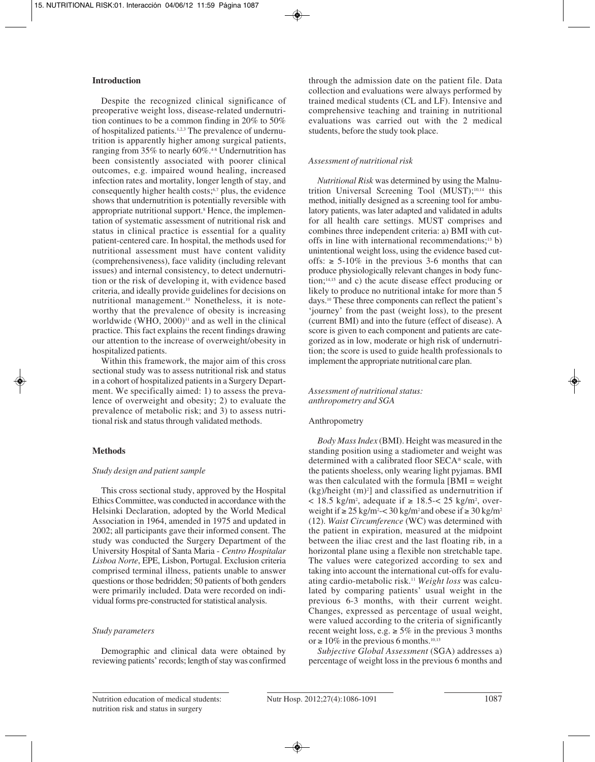#### **Introduction**

Despite the recognized clinical significance of preoperative weight loss, disease-related undernutrition continues to be a common finding in 20% to 50% of hospitalized patients.1,2,3 The prevalence of undernutrition is apparently higher among surgical patients, ranging from 35% to nearly 60%.<sup>48</sup> Undernutrition has been consistently associated with poorer clinical outcomes, e.g. impaired wound healing, increased infection rates and mortality, longer length of stay, and consequently higher health costs; $6,7$  plus, the evidence shows that undernutrition is potentially reversible with appropriate nutritional support.<sup>8</sup> Hence, the implementation of systematic assessment of nutritional risk and status in clinical practice is essential for a quality patient-centered care. In hospital, the methods used for nutritional assessment must have content validity (comprehensiveness), face validity (including relevant issues) and internal consistency, to detect undernutrition or the risk of developing it, with evidence based criteria, and ideally provide guidelines for decisions on nutritional management.10 Nonetheless, it is noteworthy that the prevalence of obesity is increasing worldwide (WHO,  $2000$ )<sup>11</sup> and as well in the clinical practice. This fact explains the recent findings drawing our attention to the increase of overweight/obesity in hospitalized patients.

Within this framework, the major aim of this cross sectional study was to assess nutritional risk and status in a cohort of hospitalized patients in a Surgery Department. We specifically aimed: 1) to assess the prevalence of overweight and obesity; 2) to evaluate the prevalence of metabolic risk; and 3) to assess nutritional risk and status through validated methods.

# **Methods**

#### *Study design and patient sample*

This cross sectional study, approved by the Hospital Ethics Committee, was conducted in accordance with the Helsinki Declaration, adopted by the World Medical Association in 1964, amended in 1975 and updated in 2002; all participants gave their informed consent. The study was conducted the Surgery Department of the University Hospital of Santa Maria - *Centro Hospitalar Lisboa Norte*, EPE, Lisbon, Portugal. Exclusion criteria comprised terminal illness, patients unable to answer questions or those bedridden; 50 patients of both genders were primarily included. Data were recorded on individual forms pre-constructed for statistical analysis.

#### *Study parameters*

Demographic and clinical data were obtained by reviewing patients' records; length of stay was confirmed through the admission date on the patient file. Data collection and evaluations were always performed by trained medical students (CL and LF). Intensive and comprehensive teaching and training in nutritional evaluations was carried out with the 2 medical students, before the study took place.

# *Assessment of nutritional risk*

*Nutritional Risk* was determined by using the Malnutrition Universal Screening Tool (MUST);10,14 this method, initially designed as a screening tool for ambulatory patients, was later adapted and validated in adults for all health care settings. MUST comprises and combines three independent criteria: a) BMI with cutoffs in line with international recommendations;<sup>13</sup> b) unintentional weight loss, using the evidence based cutoffs:  $\ge$  5-10% in the previous 3-6 months that can produce physiologically relevant changes in body function;14,15 and c) the acute disease effect producing or likely to produce no nutritional intake for more than 5 days.10 These three components can reflect the patient's 'journey' from the past (weight loss), to the present (current BMI) and into the future (effect of disease). A score is given to each component and patients are categorized as in low, moderate or high risk of undernutrition; the score is used to guide health professionals to implement the appropriate nutritional care plan.

#### *Assessment of nutritional status: anthropometry and SGA*

#### Anthropometry

*Body Mass Index* (BMI). Height was measured in the standing position using a stadiometer and weight was determined with a calibrated floor SECA® scale, with the patients shoeless, only wearing light pyjamas. BMI was then calculated with the formula [BMI = weight  $(kg)/height$  (m)<sup>2</sup>] and classified as undernutrition if < 18.5 kg/m<sup>2</sup>, adequate if ≥ 18.5 -  $25 \text{ kg/m}^2$ , overweight if  $\ge 25 \text{ kg/m}^2 < 30 \text{ kg/m}^2$  and obese if  $\ge 30 \text{ kg/m}^2$ (12). *Waist Circumference* (WC) was determined with the patient in expiration, measured at the midpoint between the iliac crest and the last floating rib, in a horizontal plane using a flexible non stretchable tape. The values were categorized according to sex and taking into account the international cut-offs for evaluating cardio-metabolic risk.11 *Weight loss* was calculated by comparing patients' usual weight in the previous 6-3 months, with their current weight. Changes, expressed as percentage of usual weight, were valued according to the criteria of significantly recent weight loss, e.g.  $\geq 5\%$  in the previous 3 months or  $\geq 10\%$  in the previous 6 months.<sup>10,13</sup>

*Subjective Global Assessment* (SGA) addresses a) percentage of weight loss in the previous 6 months and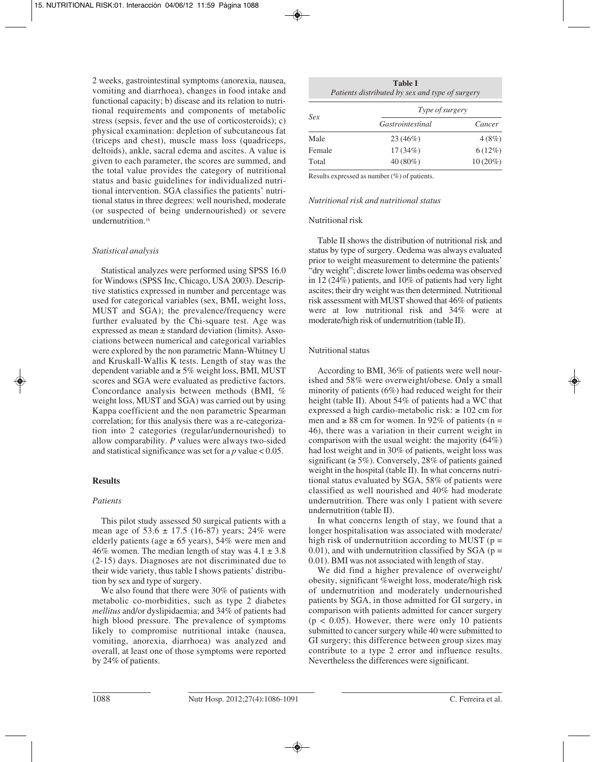2 weeks, gastrointestinal symptoms (anorexia, nausea, vomiting and diarrhoea), changes in food intake and functional capacity; b) disease and its relation to nutritional requirements and components of metabolic stress (sepsis, fever and the use of corticosteroids); c) physical examination: depletion of subcutaneous fat (triceps and chest), muscle mass loss (quadriceps, deltoids), ankle, sacral edema and ascites. A value is given to each parameter, the scores are summed, and the total value provides the category of nutritional status and basic guidelines for individualized nutritional intervention. SGA classifies the patients' nutritional status in three degrees: well nourished, moderate (or suspected of being undernourished) or severe undernutrition.<sup>16</sup>

#### *Statistical analysis*

Statistical analyzes were performed using SPSS 16.0 for Windows (SPSS Inc, Chicago, USA 2003). Descriptive statistics expressed in number and percentage was used for categorical variables (sex, BMI, weight loss, MUST and SGA); the prevalence/frequency were further evaluated by the Chi-square test. Age was expressed as mean ± standard deviation (limits). Associations between numerical and categorical variables were explored by the non parametric Mann-Whitney U and Kruskall-Wallis K tests. Length of stay was the dependent variable and  $\geq 5\%$  weight loss, BMI, MUST scores and SGA were evaluated as predictive factors. Concordance analysis between methods (BMI, % weight loss, MUST and SGA) was carried out by using Kappa coefficient and the non parametric Spearman correlation; for this analysis there was a re-categorization into 2 categories (regular/undernourished) to allow comparability. *P* values were always two-sided and statistical significance was set for a *p* value < 0.05.

# **Results**

# *Patients*

This pilot study assessed 50 surgical patients with a mean age of  $53.6 \pm 17.5$  (16-87) years; 24% were elderly patients (age  $\ge 65$  years), 54% were men and 46% women. The median length of stay was  $4.1 \pm 3.8$ (2-15) days. Diagnoses are not discriminated due to their wide variety, thus table I shows patients' distribution by sex and type of surgery.

We also found that there were 30% of patients with metabolic co-morbidities, such as type 2 diabetes *mellitus* and/or dyslipidaemia; and 34% of patients had high blood pressure. The prevalence of symptoms likely to compromise nutritional intake (nausea, vomiting, anorexia, diarrhoea) was analyzed and overall, at least one of those symptoms were reported by 24% of patients.

| <b>Table I</b><br>Patients distributed by sex and type of surgery |                  |            |  |  |  |
|-------------------------------------------------------------------|------------------|------------|--|--|--|
| Sex                                                               | Type of surgery  |            |  |  |  |
|                                                                   | Gastrointestinal | Cancer     |  |  |  |
| Male                                                              | $23(46\%)$       | 4(8%)      |  |  |  |
| Female                                                            | $17(34\%)$       | $6(12\%)$  |  |  |  |
| Total                                                             | 40 (80%)         | $10(20\%)$ |  |  |  |

Results expressed as number (%) of patients.

#### *Nutritional risk and nutritional status*

#### Nutritional risk

Table II shows the distribution of nutritional risk and status by type of surgery. Oedema was always evaluated prior to weight measurement to determine the patients' "dry weight"; discrete lower limbs oedema was observed in 12 (24%) patients, and 10% of patients had very light ascites; their dry weight was then determined. Nutritional risk assessment with MUST showed that 46% of patients were at low nutritional risk and 34% were at moderate/high risk of undernutrition (table II).

#### Nutritional status

According to BMI, 36% of patients were well nourished and 58% were overweight/obese. Only a small minority of patients (6%) had reduced weight for their height (table II). About 54% of patients had a WC that expressed a high cardio-metabolic risk:  $\geq 102$  cm for men and  $\geq 88$  cm for women. In 92% of patients (n = 46), there was a variation in their current weight in comparison with the usual weight: the majority (64%) had lost weight and in 30% of patients, weight loss was significant ( $\geq$  5%). Conversely, 28% of patients gained weight in the hospital (table II). In what concerns nutritional status evaluated by SGA, 58% of patients were classified as well nourished and 40% had moderate undernutrition. There was only 1 patient with severe undernutrition (table II).

In what concerns length of stay, we found that a longer hospitalisation was associated with moderate/ high risk of undernutrition according to MUST ( $p =$ 0.01), and with undernutrition classified by  $SGA$  ( $p =$ 0.01). BMI was not associated with length of stay.

We did find a higher prevalence of overweight/ obesity, significant %weight loss, moderate/high risk of undernutrition and moderately undernourished patients by SGA, in those admitted for GI surgery, in comparison with patients admitted for cancer surgery  $(p < 0.05)$ . However, there were only 10 patients submitted to cancer surgery while 40 were submitted to GI surgery; this difference between group sizes may contribute to a type 2 error and influence results. Nevertheless the differences were significant.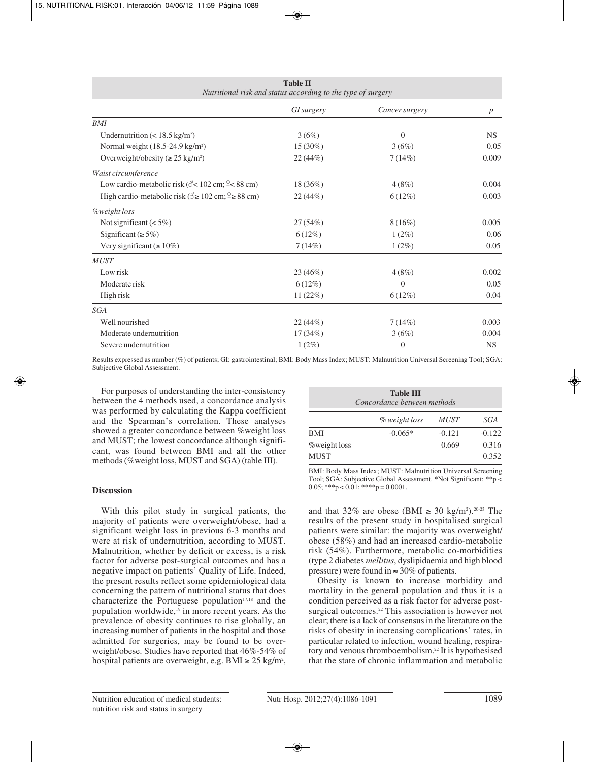| <b>Table II</b><br>Nutritional risk and status according to the type of surgery |            |                  |                  |  |  |
|---------------------------------------------------------------------------------|------------|------------------|------------------|--|--|
|                                                                                 | GI surgery | Cancer surgery   | $\boldsymbol{p}$ |  |  |
| <b>BMI</b>                                                                      |            |                  |                  |  |  |
| Undernutrition $(< 18.5 \text{ kg/m}^2)$                                        | 3(6%)      | $\mathbf{0}$     | <b>NS</b>        |  |  |
| Normal weight (18.5-24.9 kg/m <sup>2</sup> )                                    | $15(30\%)$ | 3(6%)            | 0.05             |  |  |
| Overweight/obesity ( $\geq$ 25 kg/m <sup>2</sup> )                              | 22(44%)    | 7(14%)           | 0.009            |  |  |
| Waist circumference                                                             |            |                  |                  |  |  |
| Low cardio-metabolic risk ( $\< 102 \text{ cm}$ ; $\< 88 \text{ cm}$ )          | $18(36\%)$ | 4(8%)            | 0.004            |  |  |
| High cardio-metabolic risk ( $\delta \ge 102$ cm; $\approx 88$ cm)              | 22(44%)    | $6(12\%)$        | 0.003            |  |  |
| <b>Weight</b> loss                                                              |            |                  |                  |  |  |
| Not significant $(< 5\%)$                                                       | 27(54%)    | $8(16\%)$        | 0.005            |  |  |
| Significant ( $\geq$ 5%)                                                        | $6(12\%)$  | $1(2\%)$         | 0.06             |  |  |
| Very significant ( $\geq 10\%$ )                                                | 7(14%)     | $1(2\%)$         | 0.05             |  |  |
| <b>MUST</b>                                                                     |            |                  |                  |  |  |
| Low risk                                                                        | 23 (46%)   | 4(8%)            | 0.002            |  |  |
| Moderate risk                                                                   | $6(12\%)$  | $\overline{0}$   | 0.05             |  |  |
| High risk                                                                       | 11(22%)    | 6(12%)           | 0.04             |  |  |
| <b>SGA</b>                                                                      |            |                  |                  |  |  |
| Well nourished                                                                  | 22(44%)    | 7(14%)           | 0.003            |  |  |
| Moderate undernutrition                                                         | $17(34\%)$ | 3(6%)            | 0.004            |  |  |
| Severe undernutrition                                                           | $1(2\%)$   | $\boldsymbol{0}$ | <b>NS</b>        |  |  |

**Table II**

Results expressed as number (%) of patients; GI: gastrointestinal; BMI: Body Mass Index; MUST: Malnutrition Universal Screening Tool; SGA: Subjective Global Assessment.

For purposes of understanding the inter-consistency between the 4 methods used, a concordance analysis was performed by calculating the Kappa coefficient and the Spearman's correlation. These analyses showed a greater concordance between %weight loss and MUST; the lowest concordance although significant, was found between BMI and all the other methods (%weight loss, MUST and SGA) (table III).

#### **Discussion**

With this pilot study in surgical patients, the majority of patients were overweight/obese, had a significant weight loss in previous 6-3 months and were at risk of undernutrition, according to MUST. Malnutrition, whether by deficit or excess, is a risk factor for adverse post-surgical outcomes and has a negative impact on patients' Quality of Life. Indeed, the present results reflect some epidemiological data concerning the pattern of nutritional status that does characterize the Portuguese population<sup>17,18</sup> and the population worldwide,<sup>19</sup> in more recent years. As the prevalence of obesity continues to rise globally, an increasing number of patients in the hospital and those admitted for surgeries, may be found to be overweight/obese. Studies have reported that 46%-54% of hospital patients are overweight, e.g.  $\text{BMI} \geq 25 \text{ kg/m}^2$ ,

| <b>Table III</b><br>Concordance between methods |               |             |          |  |  |
|-------------------------------------------------|---------------|-------------|----------|--|--|
|                                                 | % weight loss | <i>MUST</i> | SGA      |  |  |
| <b>BMI</b>                                      | $-0.065*$     | $-0.121$    | $-0.122$ |  |  |
| <i>%</i> weight loss                            |               | 0.669       | 0.316    |  |  |
| <b>MUST</b>                                     |               |             | 0.352    |  |  |

BMI: Body Mass Index; MUST: Malnutrition Universal Screening Tool; SGA: Subjective Global Assessment. \*Not Significant; \*\*p <  $0.05$ ; \*\*\*p < 0.01; \*\*\*\*p = 0.0001.

and that 32% are obese (BMI  $\geq$  30 kg/m<sup>2</sup>).<sup>20-23</sup> The results of the present study in hospitalised surgical patients were similar: the majority was overweight/ obese (58%) and had an increased cardio-metabolic risk (54%). Furthermore, metabolic co-morbidities (type 2 diabetes *mellitus*, dyslipidaemia and high blood pressure) were found in  $\approx 30\%$  of patients.

Obesity is known to increase morbidity and mortality in the general population and thus it is a condition perceived as a risk factor for adverse postsurgical outcomes.<sup>22</sup> This association is however not clear; there is a lack of consensus in the literature on the risks of obesity in increasing complications' rates, in particular related to infection, wound healing, respiratory and venous thromboembolism.<sup>22</sup> It is hypothesised that the state of chronic inflammation and metabolic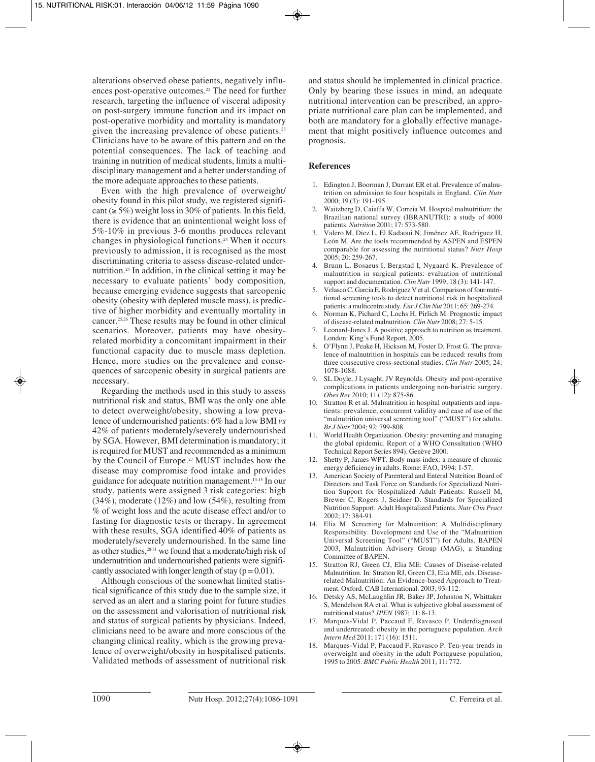alterations observed obese patients, negatively influences post-operative outcomes.22 The need for further research, targeting the influence of visceral adiposity on post-surgery immune function and its impact on post-operative morbidity and mortality is mandatory given the increasing prevalence of obese patients.<sup>23</sup> Clinicians have to be aware of this pattern and on the potential consequences. The lack of teaching and training in nutrition of medical students, limits a multidisciplinary management and a better understanding of the more adequate approaches to these patients.

Even with the high prevalence of overweight/ obesity found in this pilot study, we registered significant ( $\geq$  5%) weight loss in 30% of patients. In this field, there is evidence that an unintentional weight loss of 5%-10% in previous 3-6 months produces relevant changes in physiological functions.24 When it occurs previously to admission, it is recognised as the most discriminating criteria to assess disease-related undernutrition.24 In addition, in the clinical setting it may be necessary to evaluate patients' body composition, because emerging evidence suggests that sarcopenic obesity (obesity with depleted muscle mass), is predictive of higher morbidity and eventually mortality in cancer.25,26 These results may be found in other clinical scenarios. Moreover, patients may have obesityrelated morbidity a concomitant impairment in their functional capacity due to muscle mass depletion. Hence, more studies on the prevalence and consequences of sarcopenic obesity in surgical patients are necessary.

Regarding the methods used in this study to assess nutritional risk and status, BMI was the only one able to detect overweight/obesity, showing a low prevalence of undernourished patients: 6% had a low BMI *vs* 42% of patients moderately/severely undernourished by SGA. However, BMI determination is mandatory; it is required for MUST and recommended as a minimum by the Council of Europe.<sup>27</sup> MUST includes how the disease may compromise food intake and provides guidance for adequate nutrition management.13-15 In our study, patients were assigned 3 risk categories: high (34%), moderate (12%) and low (54%), resulting from % of weight loss and the acute disease effect and/or to fasting for diagnostic tests or therapy. In agreement with these results, SGA identified 40% of patients as moderately/severely undernourished. In the same line as other studies,<sup>28-31</sup> we found that a moderate/high risk of undernutrition and undernourished patients were significantly associated with longer length of stay  $(p = 0.01)$ .

Although conscious of the somewhat limited statistical significance of this study due to the sample size, it served as an alert and a staring point for future studies on the assessment and valorisation of nutritional risk and status of surgical patients by physicians. Indeed, clinicians need to be aware and more conscious of the changing clinical reality, which is the growing prevalence of overweight/obesity in hospitalised patients. Validated methods of assessment of nutritional risk

and status should be implemented in clinical practice. Only by bearing these issues in mind, an adequate nutritional intervention can be prescribed, an appropriate nutritional care plan can be implemented, and both are mandatory for a globally effective management that might positively influence outcomes and prognosis.

#### **References**

- 1. Edington J, Boorman J, Durrant ER et al. Prevalence of malnutrition on admission to four hospitals in England. *Clin Nutr* 2000; 19 (3): 191-195.
- 2. Waitzberg D, Caiaffa W, Correia M. Hospital malnutrition: the Brazilian national survey (IBRANUTRI): a study of 4000 patients. *Nutrition* 2001; 17: 573-580.
- 3. Valero M, Diez L, El Kadaoui N, Jiménez AE, Rodriguez H, León M. Are the tools recommended by ASPEN and ESPEN comparable for assessing the nutritional status? *Nutr Hosp* 2005; 20: 259-267.
- 4. Brunn L, Bosaeus I, Bergstad I, Nygaard K. Prevalence of malnutrition in surgical patients: evaluation of nutritional support and documentation. *Clin Nutr* 1999; 18 (3): 141-147.
- 5. Velasco C, Garcia E, Rodriguez V et al. Comparison of four nutritional screening tools to detect nutritional risk in hospitalized patients: a multicentre study. *Eur J Clin Nut* 2011; 65: 269-274.
- 6. Norman K, Pichard C, Lochs H, Pirlich M. Prognostic impact of disease-related malnutrition. *Clin Nutr* 2008; 27: 5-15.
- 7. Leonard-Jones J. A positive approach to nutrition as treatment. London: King's Fund Report, 2005.
- 8. O'Flynn J, Peake H, Hickson M, Foster D, Frost G. The prevalence of malnutrition in hospitals can be reduced: results from three consecutive cross-sectional studies. *Clin Nutr* 2005; 24: 1078-1088.
- 9. SL Doyle, J Lysaght, JV Reynolds. Obesity and post-operative complications in patients undergoing non-bariatric surgery. *Obes Rev* 2010; 11 (12): 875-86.
- 10. Stratton R et al. Malnutrition in hospital outpatients and inpatients: prevalence, concurrent validity and ease of use of the "malnutrition universal screening tool" ("MUST") for adults. *Br J Nutr* 2004; 92: 799-808.
- 11. World Health Organization. Obesity: preventing and managing the global epidemic. Report of a WHO Consultation (WHO Technical Report Series 894). Genève 2000.
- 12. Shetty P, James WPT. Body mass index: a measure of chronic energy deficiency in adults. Rome: FAO, 1994: 1-57.
- 13. American Society of Parenteral and Enteral Nutrition Board of Directors and Task Force on Standards for Specialized Nutrition Support for Hospitalized Adult Patients: Russell M, Brewer C, Rogers J, Seidner D. Standards for Specialized Nutrition Support: Adult Hospitalized Patients. *Nutr Clin Pract* 2002; 17: 384-91.
- 14. Elia M. Screening for Malnutrition: A Multidisciplinary Responsibility. Development and Use of the "Malnutrition Universal Screening Tool" ("MUST") for Adults. BAPEN 2003, Malnutrition Advisory Group (MAG), a Standing Committee of BAPEN.
- 15. Stratton RJ, Green CJ, Elia ME: Causes of Disease-related Malnutrition. In: Stratton RJ, Green CJ, Elia ME, eds. Diseaserelated Malnutrition: An Evidence-based Approach to Treatment. Oxford. CAB International. 2003; 93-112.
- 16. Detsky AS, McLaughlin JR, Baker JP, Johnston N, Whittaker S, Mendelson RA et al. What is subjective global assessment of nutritional status? *JPEN* 1987; 11: 8-13.
- 17. Marques-Vidal P, Paccaud F, Ravasco P. Underdiagnosed and undertreated: obesity in the portuguese population. *Arch Intern Med* 2011; 171 (16): 1511.
- 18. Marques-Vidal P, Paccaud F, Ravasco P. Ten-year trends in overweight and obesity in the adult Portuguese population, 1995 to 2005. *BMC Public Health* 2011; 11: 772.